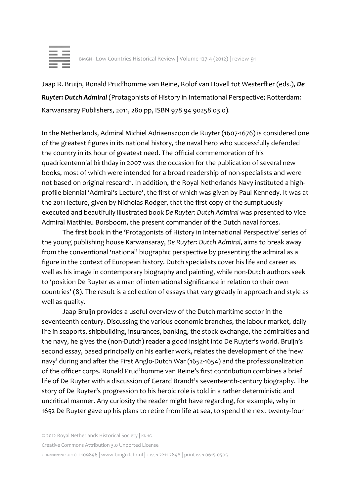

Jaap R. Bruijn, Ronald Prud'homme van Reine, Rolof van Hövell tot Westerflier (eds.), *De Ruyter: Dutch Admiral* (Protagonists of History in International Perspective; Rotterdam: Karwansaray Publishers, 2011, 280 pp, ISBN 978 94 90258 03 0).

In the Netherlands, Admiral Michiel Adriaenszoon de Ruyter (1607-1676) is considered one of the greatest figures in its national history, the naval hero who successfully defended the country in its hour of greatest need. The official commemoration of his quadricentennial birthday in 2007 was the occasion for the publication of several new books, most of which were intended for a broad readership of non-specialists and were not based on original research. In addition, the Royal Netherlands Navy instituted a highprofile biennial 'Admiral's Lecture', the first of which was given by Paul Kennedy. It was at the 2011 lecture, given by Nicholas Rodger, that the first copy of the sumptuously executed and beautifully illustrated book *De Ruyter: Dutch Admiral* was presented to Vice Admiral Matthieu Borsboom, the present commander of the Dutch naval forces.

The first book in the 'Protagonists of History in International Perspective' series of the young publishing house Karwansaray, *De Ruyter: Dutch Admiral*, aims to break away from the conventional 'national' biographic perspective by presenting the admiral as a figure in the context of European history. Dutch specialists cover his life and career as well as his image in contemporary biography and painting, while non-Dutch authors seek to 'position De Ruyter as a man of international significance in relation to their own countries' (8). The result is a collection of essays that vary greatly in approach and style as well as quality.

Jaap Bruijn provides a useful overview of the Dutch maritime sector in the seventeenth century. Discussing the various economic branches, the labour market, daily life in seaports, shipbuilding, insurances, banking, the stock exchange, the admiralties and the navy, he gives the (non-Dutch) reader a good insight into De Ruyter's world. Bruijn's second essay, based principally on his earlier work, relates the development of the 'new navy' during and after the First Anglo-Dutch War (1652-1654) and the professionalization of the officer corps. Ronald Prud'homme van Reine's first contribution combines a brief life of De Ruyter with a discussion of Gerard Brandt's seventeenth-century biography. The story of De Ruyter's progression to his heroic role is told in a rather deterministic and uncritical manner. Any curiosity the reader might have regarding, for example, why in 1652 De Ruyter gave up his plans to retire from life at sea, to spend the next twenty-four

Creative Commons Attribution 3.0 Unported License

URN:NBN:NL:UI:10-1-109896 | www.bmgn-lchr.nl | E-ISSN 2211-2898 | print ISSN 0615-0505

<sup>© 2012</sup> Royal Netherlands Historical Society | KNHG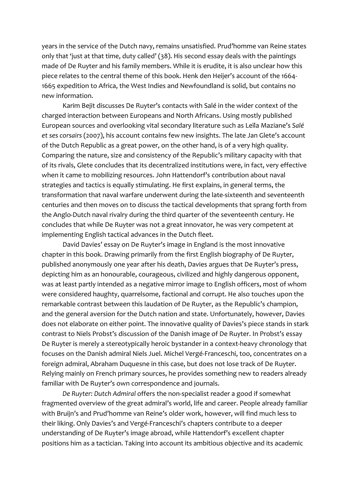years in the service of the Dutch navy, remains unsatisfied. Prud'homme van Reine states only that 'just at that time, duty called' (38). His second essay deals with the paintings made of De Ruyter and his family members. While it is erudite, it is also unclear how this piece relates to the central theme of this book. Henk den Heijer's account of the 1664- 1665 expedition to Africa, the West Indies and Newfoundland is solid, but contains no new information.

Karim Bejit discusses De Ruyter's contacts with Salé in the wider context of the charged interaction between Europeans and North Africans. Using mostly published European sources and overlooking vital secondary literature such as Leïla Maziane's *Salé et ses corsairs* (2007), his account contains few new insights. The late Jan Glete's account of the Dutch Republic as a great power, on the other hand, is of a very high quality. Comparing the nature, size and consistency of the Republic's military capacity with that of its rivals, Glete concludes that its decentralized institutions were, in fact, very effective when it came to mobilizing resources. John Hattendorf's contribution about naval strategies and tactics is equally stimulating. He first explains, in general terms, the transformation that naval warfare underwent during the late-sixteenth and seventeenth centuries and then moves on to discuss the tactical developments that sprang forth from the Anglo-Dutch naval rivalry during the third quarter of the seventeenth century. He concludes that while De Ruyter was not a great innovator, he was very competent at implementing English tactical advances in the Dutch fleet.

David Davies' essay on De Ruyter's image in England is the most innovative chapter in this book. Drawing primarily from the first English biography of De Ruyter, published anonymously one year after his death, Davies argues that De Ruyter's press, depicting him as an honourable, courageous, civilized and highly dangerous opponent, was at least partly intended as a negative mirror image to English officers, most of whom were considered haughty, quarrelsome, factional and corrupt. He also touches upon the remarkable contrast between this laudation of De Ruyter, as the Republic's champion, and the general aversion for the Dutch nation and state. Unfortunately, however, Davies does not elaborate on either point. The innovative quality of Davies's piece stands in stark contrast to Niels Probst's discussion of the Danish image of De Ruyter. In Probst's essay De Ruyter is merely a stereotypically heroic bystander in a context-heavy chronology that focuses on the Danish admiral Niels Juel. Michel Vergé-Franceschi, too, concentrates on a foreign admiral, Abraham Duquesne in this case, but does not lose track of De Ruyter. Relying mainly on French primary sources, he provides something new to readers already familiar with De Ruyter's own correspondence and journals.

*De Ruyter: Dutch Admiral* offers the non-specialist reader a good if somewhat fragmented overview of the great admiral's world, life and career. People already familiar with Bruijn's and Prud'homme van Reine's older work, however, will find much less to their liking. Only Davies's and Vergé-Franceschi's chapters contribute to a deeper understanding of De Ruyter's image abroad, while Hattendorf's excellent chapter positions him as a tactician. Taking into account its ambitious objective and its academic